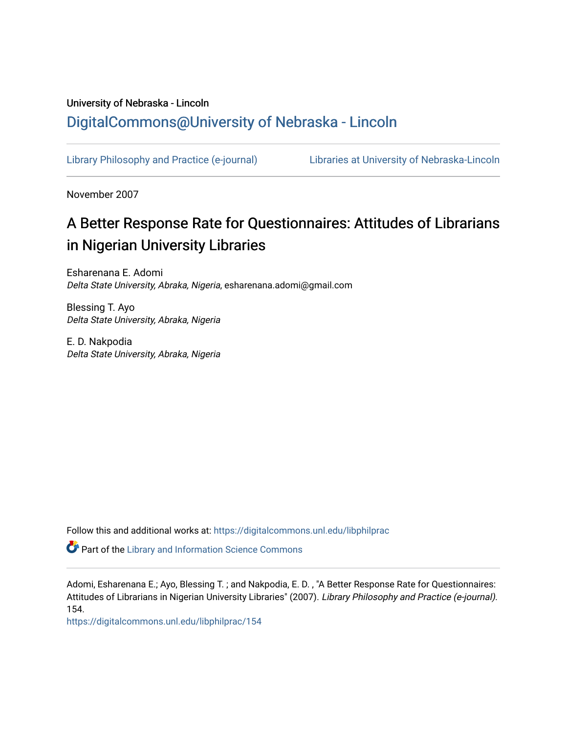## University of Nebraska - Lincoln [DigitalCommons@University of Nebraska - Lincoln](https://digitalcommons.unl.edu/)

[Library Philosophy and Practice \(e-journal\)](https://digitalcommons.unl.edu/libphilprac) [Libraries at University of Nebraska-Lincoln](https://digitalcommons.unl.edu/libraries) 

November 2007

# A Better Response Rate for Questionnaires: Attitudes of Librarians in Nigerian University Libraries

Esharenana E. Adomi Delta State University, Abraka, Nigeria, esharenana.adomi@gmail.com

Blessing T. Ayo Delta State University, Abraka, Nigeria

E. D. Nakpodia Delta State University, Abraka, Nigeria

Follow this and additional works at: [https://digitalcommons.unl.edu/libphilprac](https://digitalcommons.unl.edu/libphilprac?utm_source=digitalcommons.unl.edu%2Flibphilprac%2F154&utm_medium=PDF&utm_campaign=PDFCoverPages) 

Part of the [Library and Information Science Commons](http://network.bepress.com/hgg/discipline/1018?utm_source=digitalcommons.unl.edu%2Flibphilprac%2F154&utm_medium=PDF&utm_campaign=PDFCoverPages) 

Adomi, Esharenana E.; Ayo, Blessing T. ; and Nakpodia, E. D. , "A Better Response Rate for Questionnaires: Attitudes of Librarians in Nigerian University Libraries" (2007). Library Philosophy and Practice (e-journal). 154.

[https://digitalcommons.unl.edu/libphilprac/154](https://digitalcommons.unl.edu/libphilprac/154?utm_source=digitalcommons.unl.edu%2Flibphilprac%2F154&utm_medium=PDF&utm_campaign=PDFCoverPages)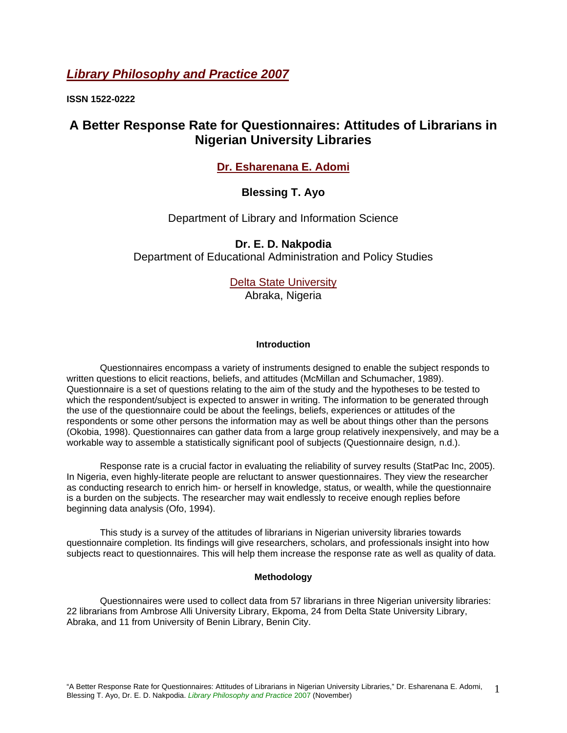## *Library Philosophy and Practice 2007*

**ISSN 1522-0222** 

## **A Better Response Rate for Questionnaires: Attitudes of Librarians in Nigerian University Libraries**

## **Dr. Esharenana E. Adomi**

## **Blessing T. Ayo**

Department of Library and Information Science

## **Dr. E. D. Nakpodia**

Department of Educational Administration and Policy Studies

Delta State University

Abraka, Nigeria

#### **Introduction**

Questionnaires encompass a variety of instruments designed to enable the subject responds to written questions to elicit reactions, beliefs, and attitudes (McMillan and Schumacher, 1989). Questionnaire is a set of questions relating to the aim of the study and the hypotheses to be tested to which the respondent/subject is expected to answer in writing. The information to be generated through the use of the questionnaire could be about the feelings, beliefs, experiences or attitudes of the respondents or some other persons the information may as well be about things other than the persons (Okobia, 1998). Questionnaires can gather data from a large group relatively inexpensively, and may be a workable way to assemble a statistically significant pool of subjects (Questionnaire design*,* n.d.).

Response rate is a crucial factor in evaluating the reliability of survey results (StatPac Inc, 2005). In Nigeria, even highly-literate people are reluctant to answer questionnaires. They view the researcher as conducting research to enrich him- or herself in knowledge, status, or wealth, while the questionnaire is a burden on the subjects. The researcher may wait endlessly to receive enough replies before beginning data analysis (Ofo, 1994).

This study is a survey of the attitudes of librarians in Nigerian university libraries towards questionnaire completion. Its findings will give researchers, scholars, and professionals insight into how subjects react to questionnaires. This will help them increase the response rate as well as quality of data.

#### **Methodology**

Questionnaires were used to collect data from 57 librarians in three Nigerian university libraries: 22 librarians from Ambrose Alli University Library, Ekpoma, 24 from Delta State University Library, Abraka, and 11 from University of Benin Library, Benin City.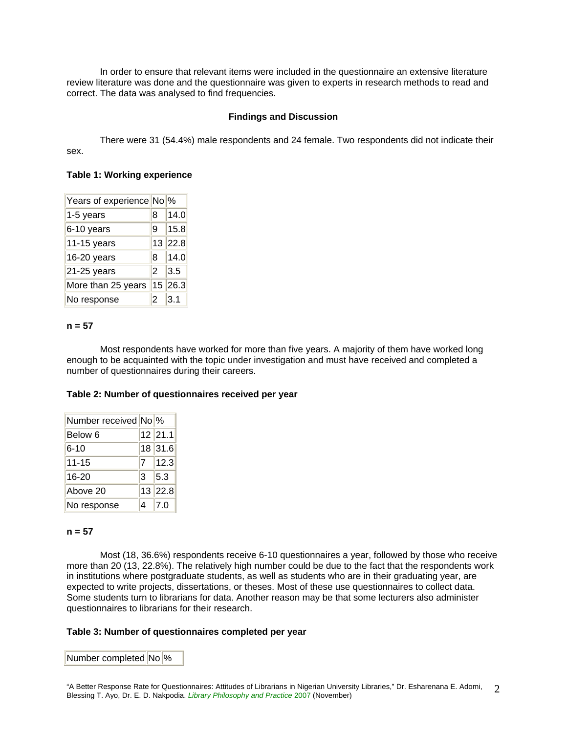In order to ensure that relevant items were included in the questionnaire an extensive literature review literature was done and the questionnaire was given to experts in research methods to read and correct. The data was analysed to find frequencies.

#### **Findings and Discussion**

There were 31 (54.4%) male respondents and 24 female. Two respondents did not indicate their sex.

#### **Table 1: Working experience**

| Years of experience No % |                |         |
|--------------------------|----------------|---------|
| 1-5 years                | 8              | 14.0    |
| 6-10 years               | 9              | 15.8    |
| 11-15 years              |                | 13 22.8 |
| 16-20 years              | 8              | 14.0    |
| 21-25 years              | $\overline{2}$ | 3.5     |
| More than 25 years       | 15             | 26.3    |
| No response              | 2              | 3.1     |

#### **n = 57**

Most respondents have worked for more than five years. A majority of them have worked long enough to be acquainted with the topic under investigation and must have received and completed a number of questionnaires during their careers.

#### **Table 2: Number of questionnaires received per year**

| Number received No % |                |                        |
|----------------------|----------------|------------------------|
| Below <sub>6</sub>   |                | $12$ 21.1              |
| $6 - 10$             |                | 18 31.6                |
| $11 - 15$            | $\overline{7}$ | 12.3                   |
| 16-20                | $\overline{3}$ | $\vert$ <sub>5.3</sub> |
| Above 20             |                | $13$ 22.8              |
| No response          |                | $\overline{7.0}$       |

#### **n = 57**

Most (18, 36.6%) respondents receive 6-10 questionnaires a year, followed by those who receive more than 20 (13, 22.8%). The relatively high number could be due to the fact that the respondents work in institutions where postgraduate students, as well as students who are in their graduating year, are expected to write projects, dissertations, or theses. Most of these use questionnaires to collect data. Some students turn to librarians for data. Another reason may be that some lecturers also administer questionnaires to librarians for their research.

#### **Table 3: Number of questionnaires completed per year**

Number completed No<sup>9</sup>%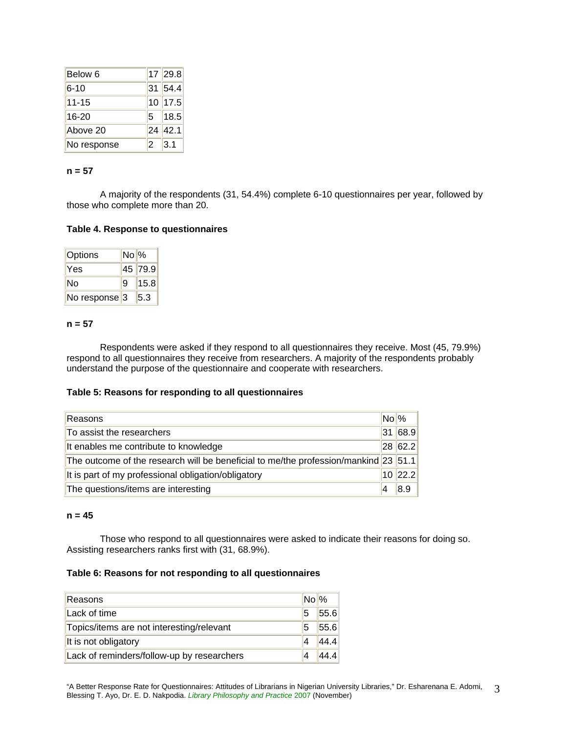| Below 6     |                | $17$ 29.8  |
|-------------|----------------|------------|
| $6 - 10$    |                | 31 54.4    |
| $11 - 15$   |                | 10 17.5    |
| 16-20       |                | $5$   18.5 |
| Above 20    |                | 24 42.1    |
| No response | $\overline{2}$ | 3.1        |

#### **n = 57**

A majority of the respondents (31, 54.4%) complete 6-10 questionnaires per year, followed by those who complete more than 20.

#### **Table 4. Response to questionnaires**

| Options        | $No\%$ |         |
|----------------|--------|---------|
| lYes           |        | 45 79.9 |
| ∣No            | ۱9     | 15.8    |
| ∣No response∥3 |        | 5.3     |

#### **n = 57**

Respondents were asked if they respond to all questionnaires they receive. Most (45, 79.9%) respond to all questionnaires they receive from researchers. A majority of the respondents probably understand the purpose of the questionnaire and cooperate with researchers.

#### **Table 5: Reasons for responding to all questionnaires**

| Reasons                                                                             |    | $No$ %    |
|-------------------------------------------------------------------------------------|----|-----------|
| To assist the researchers                                                           | 31 | 68.9      |
| It enables me contribute to knowledge                                               |    | $28$ 62.2 |
| The outcome of the research will be beneficial to me/the profession/mankind 23 51.1 |    |           |
| It is part of my professional obligation/obligatory                                 |    | $10$ 22.2 |
| The questions/items are interesting                                                 |    | 8.9       |

#### **n = 45**

Those who respond to all questionnaires were asked to indicate their reasons for doing so. Assisting researchers ranks first with (31, 68.9%).

#### **Table 6: Reasons for not responding to all questionnaires**

| Reasons                                    | $No\%$ |      |
|--------------------------------------------|--------|------|
| Lack of time                               | 5      | 55.6 |
| Topics/items are not interesting/relevant  | 5      | 55.6 |
| It is not obligatory                       |        | 44.4 |
| Lack of reminders/follow-up by researchers |        | 44.4 |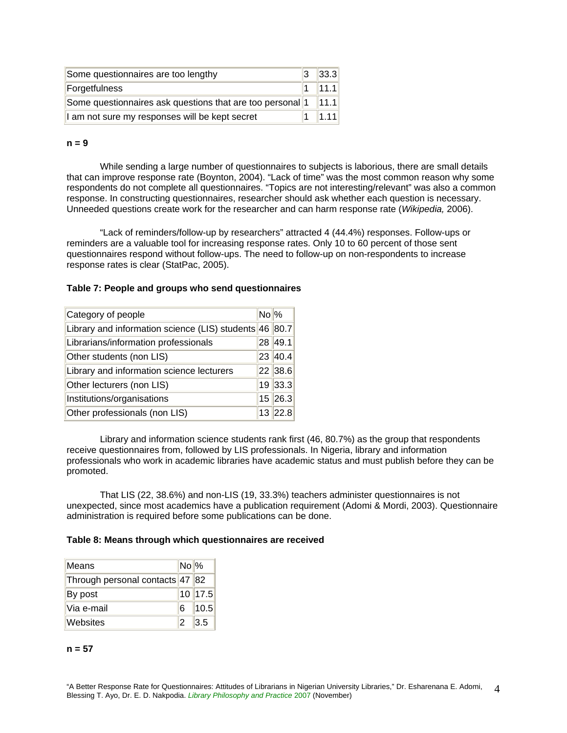| Some questionnaires are too lengthy                                      | 3 | 33.3 |
|--------------------------------------------------------------------------|---|------|
| Forgetfulness                                                            |   | 11.1 |
| Some questionnaires ask questions that are too personal $1 \quad  11.1 $ |   |      |
| I am not sure my responses will be kept secret                           |   |      |

#### **n = 9**

While sending a large number of questionnaires to subjects is laborious, there are small details that can improve response rate (Boynton, 2004). "Lack of time" was the most common reason why some respondents do not complete all questionnaires. "Topics are not interesting/relevant" was also a common response. In constructing questionnaires, researcher should ask whether each question is necessary. Unneeded questions create work for the researcher and can harm response rate (*Wikipedia,* 2006).

"Lack of reminders/follow-up by researchers" attracted 4 (44.4%) responses. Follow-ups or reminders are a valuable tool for increasing response rates. Only 10 to 60 percent of those sent questionnaires respond without follow-ups. The need to follow-up on non-respondents to increase response rates is clear (StatPac, 2005).

#### **Table 7: People and groups who send questionnaires**

| Category of people                                     | $No\%$ |           |
|--------------------------------------------------------|--------|-----------|
| Library and information science (LIS) students 46 80.7 |        |           |
| Librarians/information professionals                   |        | 28 49.1   |
| Other students (non LIS)                               |        | 23 40.4   |
| Library and information science lecturers              |        | 22 38.6   |
| Other lecturers (non LIS)                              |        | 19 33.3   |
| Institutions/organisations                             |        | $15$ 26.3 |
| Other professionals (non LIS)                          |        | 13 22.8   |

Library and information science students rank first (46, 80.7%) as the group that respondents receive questionnaires from, followed by LIS professionals. In Nigeria, library and information professionals who work in academic libraries have academic status and must publish before they can be promoted.

That LIS (22, 38.6%) and non-LIS (19, 33.3%) teachers administer questionnaires is not unexpected, since most academics have a publication requirement (Adomi & Mordi, 2003). Questionnaire administration is required before some publications can be done.

#### **Table 8: Means through which questionnaires are received**

| Means                           | $No\%$ |             |
|---------------------------------|--------|-------------|
| Through personal contacts 47 82 |        |             |
| By post                         |        | $10$   17.5 |
| lVia e-mail                     | 16     | 10.5        |
| Websites                        | 12     | 3.5         |

#### **n = 57**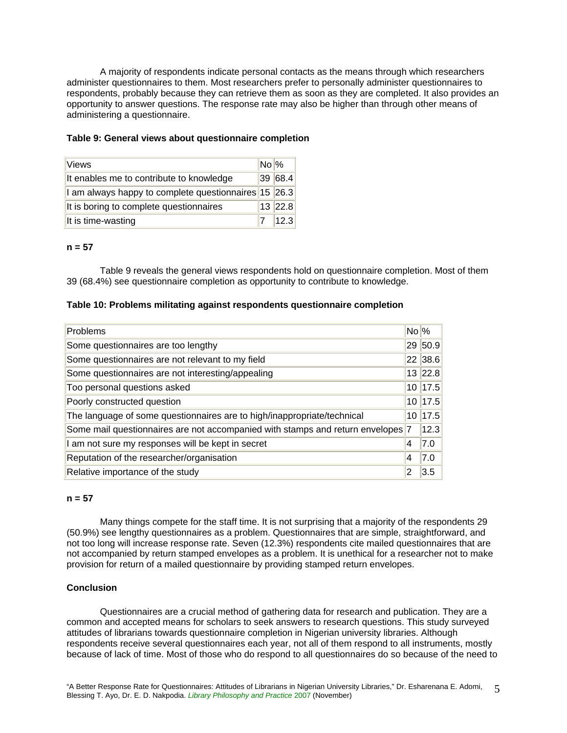A majority of respondents indicate personal contacts as the means through which researchers administer questionnaires to them. Most researchers prefer to personally administer questionnaires to respondents, probably because they can retrieve them as soon as they are completed. It also provides an opportunity to answer questions. The response rate may also be higher than through other means of administering a questionnaire.

#### **Table 9: General views about questionnaire completion**

| <b>Views</b>                                                                 | $No$ % |         |
|------------------------------------------------------------------------------|--------|---------|
| It enables me to contribute to knowledge                                     |        | 39 68.4 |
| $\vert$ I am always happy to complete questionnaires $\vert$ 15 $\vert$ 26.3 |        |         |
| It is boring to complete questionnaires                                      |        | 13 22.8 |
| It is time-wasting                                                           |        | 12.3    |

#### **n = 57**

Table 9 reveals the general views respondents hold on questionnaire completion. Most of them 39 (68.4%) see questionnaire completion as opportunity to contribute to knowledge.

#### **Table 10: Problems militating against respondents questionnaire completion**

| Problems                                                                        | $No\%$ |           |
|---------------------------------------------------------------------------------|--------|-----------|
| Some questionnaires are too lengthy                                             |        | 29 50.9   |
| Some questionnaires are not relevant to my field                                |        | 22 38.6   |
| Some questionnaires are not interesting/appealing                               |        | $13$ 22.8 |
| Too personal questions asked                                                    |        | $10$ 17.5 |
| Poorly constructed question                                                     |        | $10$ 17.5 |
| The language of some questionnaires are to high/inappropriate/technical         | 10     | 17.5      |
| Some mail questionnaires are not accompanied with stamps and return envelopes 7 |        | 12.3      |
| I am not sure my responses will be kept in secret                               | 4      | 7.0       |
| Reputation of the researcher/organisation                                       | 4      | 7.0       |
| Relative importance of the study                                                | 2      | 3.5       |

#### **n = 57**

Many things compete for the staff time. It is not surprising that a majority of the respondents 29 (50.9%) see lengthy questionnaires as a problem. Questionnaires that are simple, straightforward, and not too long will increase response rate. Seven (12.3%) respondents cite mailed questionnaires that are not accompanied by return stamped envelopes as a problem. It is unethical for a researcher not to make provision for return of a mailed questionnaire by providing stamped return envelopes.

#### **Conclusion**

Questionnaires are a crucial method of gathering data for research and publication. They are a common and accepted means for scholars to seek answers to research questions. This study surveyed attitudes of librarians towards questionnaire completion in Nigerian university libraries. Although respondents receive several questionnaires each year, not all of them respond to all instruments, mostly because of lack of time. Most of those who do respond to all questionnaires do so because of the need to